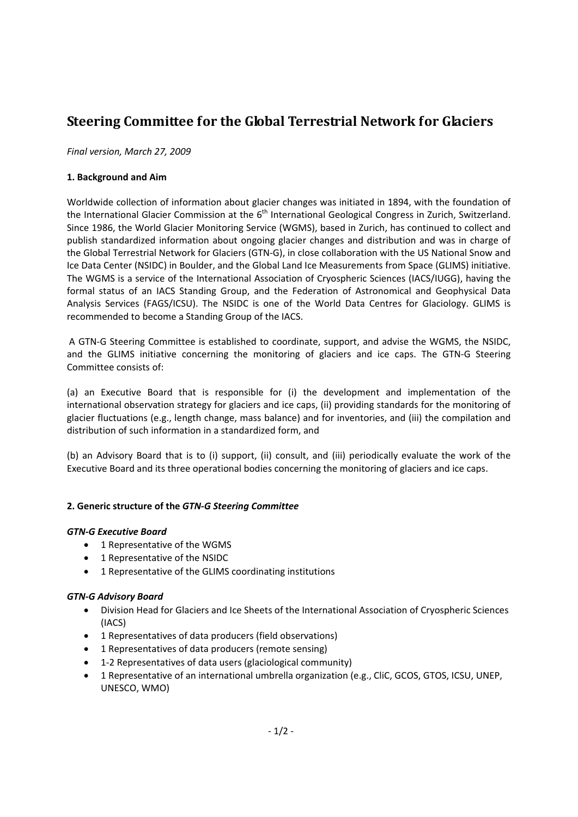# **Steering Committee for the Global Terrestrial Network for Glaciers**

*Final version, March 27, 2009*

### **1. Background and Aim**

Worldwide collection of information about glacier changes was initiated in 1894, with the foundation of the International Glacier Commission at the 6<sup>th</sup> International Geological Congress in Zurich, Switzerland. Since 1986, the World Glacier Monitoring Service (WGMS), based in Zurich, has continued to collect and publish standardized information about ongoing glacier changes and distribution and was in charge of the Global Terrestrial Network for Glaciers (GTN‐G), in close collaboration with the US National Snow and Ice Data Center (NSIDC) in Boulder, and the Global Land Ice Measurements from Space (GLIMS) initiative. The WGMS is a service of the International Association of Cryospheric Sciences (IACS/IUGG), having the formal status of an IACS Standing Group, and the Federation of Astronomical and Geophysical Data Analysis Services (FAGS/ICSU). The NSIDC is one of the World Data Centres for Glaciology. GLIMS is recommended to become a Standing Group of the IACS.

A GTN‐G Steering Committee is established to coordinate, support, and advise the WGMS, the NSIDC, and the GLIMS initiative concerning the monitoring of glaciers and ice caps. The GTN‐G Steering Committee consists of:

(a) an Executive Board that is responsible for (i) the development and implementation of the international observation strategy for glaciers and ice caps, (ii) providing standards for the monitoring of glacier fluctuations (e.g., length change, mass balance) and for inventories, and (iii) the compilation and distribution of such information in a standardized form, and

(b) an Advisory Board that is to (i) support, (ii) consult, and (iii) periodically evaluate the work of the Executive Board and its three operational bodies concerning the monitoring of glaciers and ice caps.

#### **2. Generic structure of the** *GTN‐G Steering Committee*

#### *GTN‐G Executive Board*

- 1 Representative of the WGMS
- 1 Representative of the NSIDC
- 1 Representative of the GLIMS coordinating institutions

#### *GTN‐G Advisory Board*

- Division Head for Glaciers and Ice Sheets of the International Association of Cryospheric Sciences (IACS)
- 1 Representatives of data producers (field observations)
- 1 Representatives of data producers (remote sensing)
- 1‐2 Representatives of data users (glaciological community)
- 1 Representative of an international umbrella organization (e.g., CliC, GCOS, GTOS, ICSU, UNEP, UNESCO, WMO)